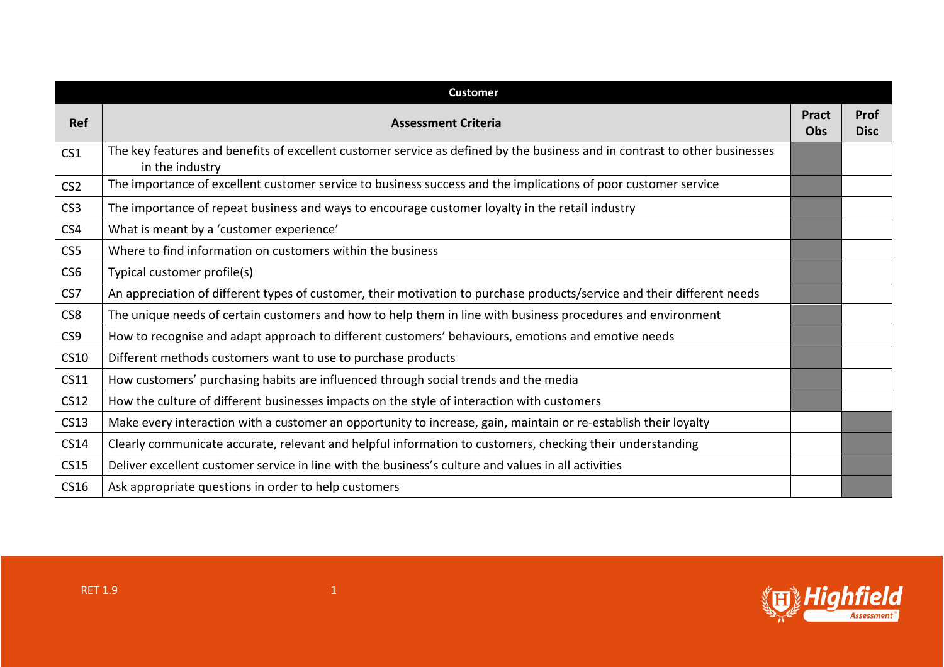|                  | <b>Customer</b>                                                                                                                               |                     |                            |
|------------------|-----------------------------------------------------------------------------------------------------------------------------------------------|---------------------|----------------------------|
| <b>Ref</b>       | <b>Assessment Criteria</b>                                                                                                                    | <b>Pract</b><br>Obs | <b>Prof</b><br><b>Disc</b> |
| CS <sub>1</sub>  | The key features and benefits of excellent customer service as defined by the business and in contrast to other businesses<br>in the industry |                     |                            |
| CS <sub>2</sub>  | The importance of excellent customer service to business success and the implications of poor customer service                                |                     |                            |
| CS <sub>3</sub>  | The importance of repeat business and ways to encourage customer loyalty in the retail industry                                               |                     |                            |
| CS4              | What is meant by a 'customer experience'                                                                                                      |                     |                            |
| CS5              | Where to find information on customers within the business                                                                                    |                     |                            |
| CS <sub>6</sub>  | Typical customer profile(s)                                                                                                                   |                     |                            |
| CS7              | An appreciation of different types of customer, their motivation to purchase products/service and their different needs                       |                     |                            |
| CS8              | The unique needs of certain customers and how to help them in line with business procedures and environment                                   |                     |                            |
| CS9              | How to recognise and adapt approach to different customers' behaviours, emotions and emotive needs                                            |                     |                            |
| <b>CS10</b>      | Different methods customers want to use to purchase products                                                                                  |                     |                            |
| CS11             | How customers' purchasing habits are influenced through social trends and the media                                                           |                     |                            |
| CS <sub>12</sub> | How the culture of different businesses impacts on the style of interaction with customers                                                    |                     |                            |
| <b>CS13</b>      | Make every interaction with a customer an opportunity to increase, gain, maintain or re-establish their loyalty                               |                     |                            |
| <b>CS14</b>      | Clearly communicate accurate, relevant and helpful information to customers, checking their understanding                                     |                     |                            |
| <b>CS15</b>      | Deliver excellent customer service in line with the business's culture and values in all activities                                           |                     |                            |
| CS16             | Ask appropriate questions in order to help customers                                                                                          |                     |                            |

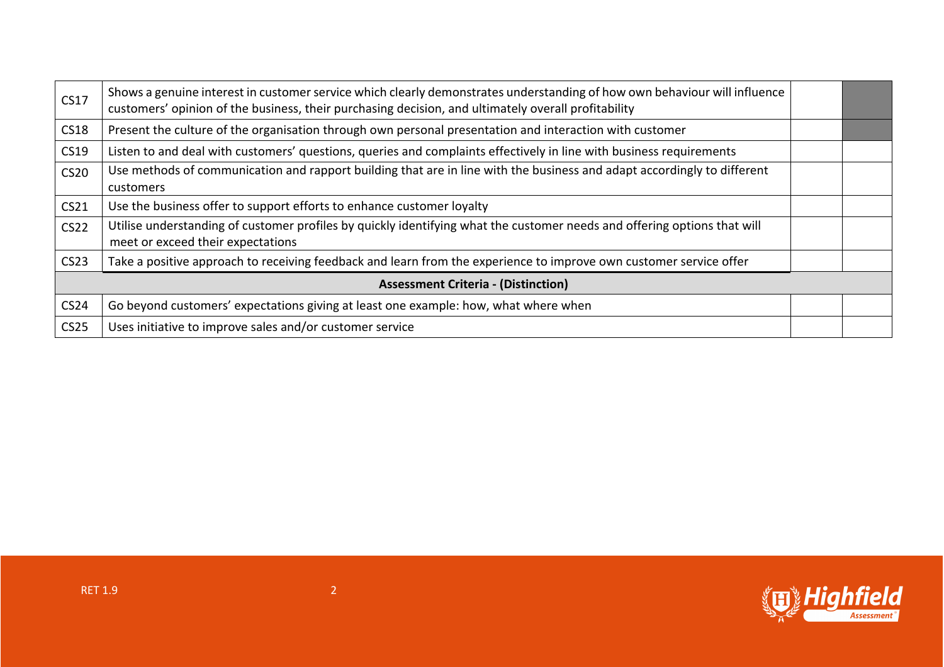| <b>CS17</b>                                | Shows a genuine interest in customer service which clearly demonstrates understanding of how own behaviour will influence<br>customers' opinion of the business, their purchasing decision, and ultimately overall profitability |  |  |
|--------------------------------------------|----------------------------------------------------------------------------------------------------------------------------------------------------------------------------------------------------------------------------------|--|--|
| <b>CS18</b>                                | Present the culture of the organisation through own personal presentation and interaction with customer                                                                                                                          |  |  |
| CS19                                       | Listen to and deal with customers' questions, queries and complaints effectively in line with business requirements                                                                                                              |  |  |
| <b>CS20</b>                                | Use methods of communication and rapport building that are in line with the business and adapt accordingly to different<br><b>customers</b>                                                                                      |  |  |
| CS21                                       | Use the business offer to support efforts to enhance customer loyalty                                                                                                                                                            |  |  |
| <b>CS22</b>                                | Utilise understanding of customer profiles by quickly identifying what the customer needs and offering options that will<br>meet or exceed their expectations                                                                    |  |  |
| CS <sub>23</sub>                           | Take a positive approach to receiving feedback and learn from the experience to improve own customer service offer                                                                                                               |  |  |
| <b>Assessment Criteria - (Distinction)</b> |                                                                                                                                                                                                                                  |  |  |
| <b>CS24</b>                                | Go beyond customers' expectations giving at least one example: how, what where when                                                                                                                                              |  |  |
| <b>CS25</b>                                | Uses initiative to improve sales and/or customer service                                                                                                                                                                         |  |  |

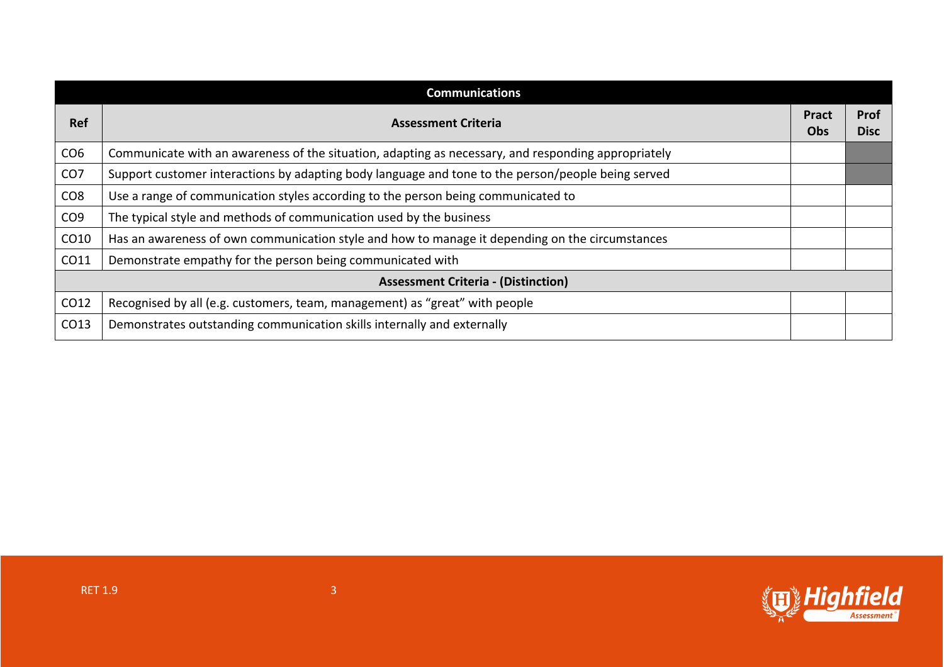|                 | <b>Communications</b>                                                                               |                            |                            |
|-----------------|-----------------------------------------------------------------------------------------------------|----------------------------|----------------------------|
| <b>Ref</b>      | <b>Assessment Criteria</b>                                                                          | <b>Pract</b><br><b>Obs</b> | <b>Prof</b><br><b>Disc</b> |
| CO <sub>6</sub> | Communicate with an awareness of the situation, adapting as necessary, and responding appropriately |                            |                            |
| CO <sub>7</sub> | Support customer interactions by adapting body language and tone to the person/people being served  |                            |                            |
| CO <sub>8</sub> | Use a range of communication styles according to the person being communicated to                   |                            |                            |
| CO <sub>9</sub> | The typical style and methods of communication used by the business                                 |                            |                            |
| CO10            | Has an awareness of own communication style and how to manage it depending on the circumstances     |                            |                            |
| CO11            | Demonstrate empathy for the person being communicated with                                          |                            |                            |
|                 | <b>Assessment Criteria - (Distinction)</b>                                                          |                            |                            |
| CO12            | Recognised by all (e.g. customers, team, management) as "great" with people                         |                            |                            |
| CO13            | Demonstrates outstanding communication skills internally and externally                             |                            |                            |

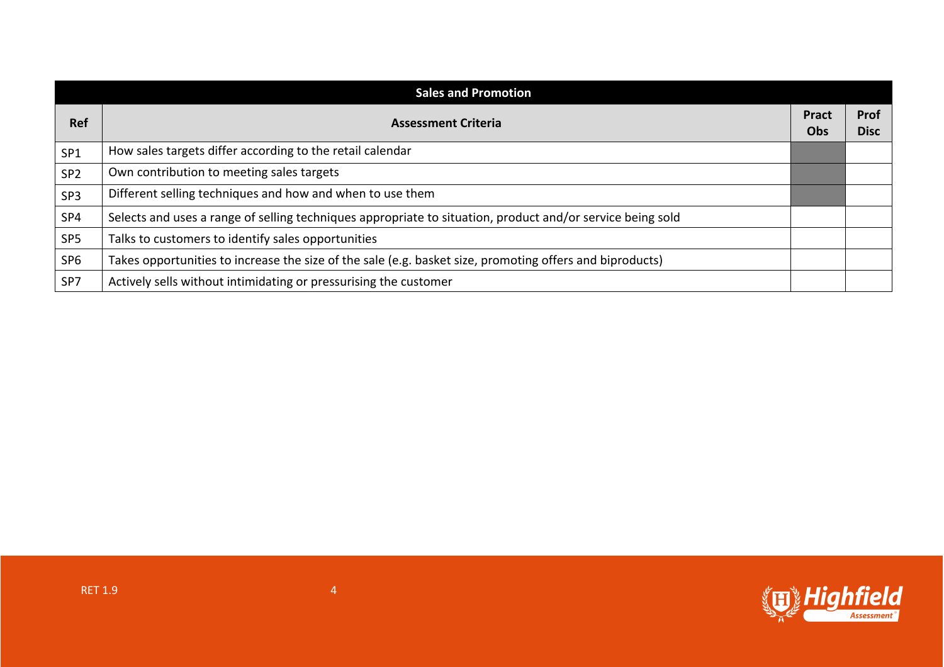| <b>Sales and Promotion</b> |                                                                                                            |                            |                            |
|----------------------------|------------------------------------------------------------------------------------------------------------|----------------------------|----------------------------|
| <b>Ref</b>                 | <b>Assessment Criteria</b>                                                                                 | <b>Pract</b><br><b>Obs</b> | <b>Prof</b><br><b>Disc</b> |
| SP <sub>1</sub>            | How sales targets differ according to the retail calendar                                                  |                            |                            |
| SP <sub>2</sub>            | Own contribution to meeting sales targets                                                                  |                            |                            |
| SP3                        | Different selling techniques and how and when to use them                                                  |                            |                            |
| SP4                        | Selects and uses a range of selling techniques appropriate to situation, product and/or service being sold |                            |                            |
| SP <sub>5</sub>            | Talks to customers to identify sales opportunities                                                         |                            |                            |
| SP <sub>6</sub>            | Takes opportunities to increase the size of the sale (e.g. basket size, promoting offers and biproducts)   |                            |                            |
| SP7                        | Actively sells without intimidating or pressurising the customer                                           |                            |                            |

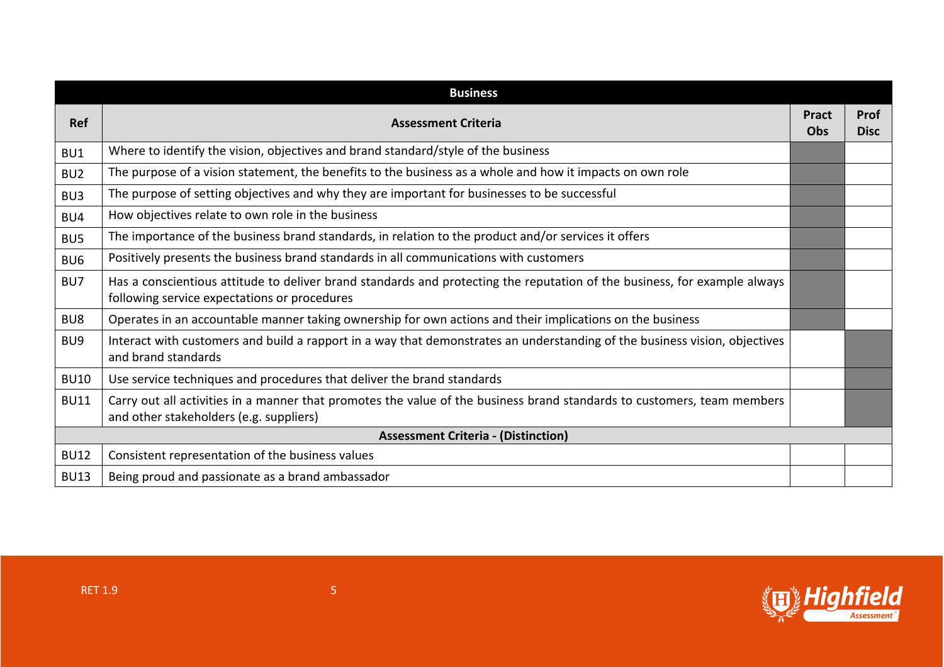|                 | <b>Business</b>                                                                                                                                                           |                     |                            |
|-----------------|---------------------------------------------------------------------------------------------------------------------------------------------------------------------------|---------------------|----------------------------|
| <b>Ref</b>      | <b>Assessment Criteria</b>                                                                                                                                                | <b>Pract</b><br>Obs | <b>Prof</b><br><b>Disc</b> |
| BU1             | Where to identify the vision, objectives and brand standard/style of the business                                                                                         |                     |                            |
| BU <sub>2</sub> | The purpose of a vision statement, the benefits to the business as a whole and how it impacts on own role                                                                 |                     |                            |
| BU <sub>3</sub> | The purpose of setting objectives and why they are important for businesses to be successful                                                                              |                     |                            |
| BU4             | How objectives relate to own role in the business                                                                                                                         |                     |                            |
| BU <sub>5</sub> | The importance of the business brand standards, in relation to the product and/or services it offers                                                                      |                     |                            |
| BU <sub>6</sub> | Positively presents the business brand standards in all communications with customers                                                                                     |                     |                            |
| BU7             | Has a conscientious attitude to deliver brand standards and protecting the reputation of the business, for example always<br>following service expectations or procedures |                     |                            |
| BU8             | Operates in an accountable manner taking ownership for own actions and their implications on the business                                                                 |                     |                            |
| BU <sub>9</sub> | Interact with customers and build a rapport in a way that demonstrates an understanding of the business vision, objectives<br>and brand standards                         |                     |                            |
| <b>BU10</b>     | Use service techniques and procedures that deliver the brand standards                                                                                                    |                     |                            |
| <b>BU11</b>     | Carry out all activities in a manner that promotes the value of the business brand standards to customers, team members<br>and other stakeholders (e.g. suppliers)        |                     |                            |
|                 | <b>Assessment Criteria - (Distinction)</b>                                                                                                                                |                     |                            |
| <b>BU12</b>     | Consistent representation of the business values                                                                                                                          |                     |                            |
| <b>BU13</b>     | Being proud and passionate as a brand ambassador                                                                                                                          |                     |                            |

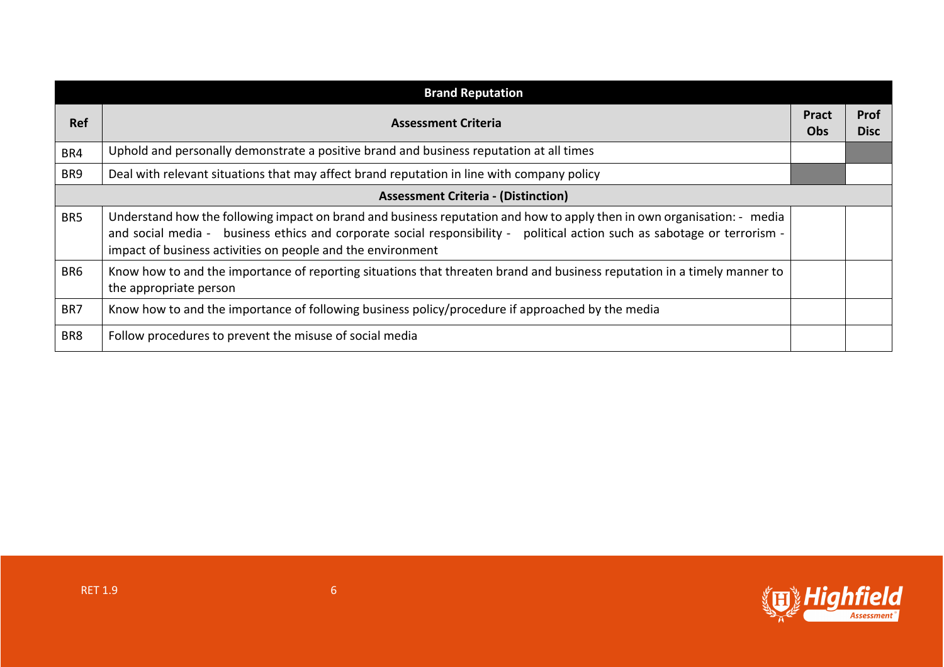| <b>Brand Reputation</b> |                                                                                                                                                                                                                                                                                                                     |                            |                            |
|-------------------------|---------------------------------------------------------------------------------------------------------------------------------------------------------------------------------------------------------------------------------------------------------------------------------------------------------------------|----------------------------|----------------------------|
| <b>Ref</b>              | <b>Assessment Criteria</b>                                                                                                                                                                                                                                                                                          | <b>Pract</b><br><b>Obs</b> | <b>Prof</b><br><b>Disc</b> |
| BR4                     | Uphold and personally demonstrate a positive brand and business reputation at all times                                                                                                                                                                                                                             |                            |                            |
| BR9                     | Deal with relevant situations that may affect brand reputation in line with company policy                                                                                                                                                                                                                          |                            |                            |
|                         | <b>Assessment Criteria - (Distinction)</b>                                                                                                                                                                                                                                                                          |                            |                            |
| BR <sub>5</sub>         | Understand how the following impact on brand and business reputation and how to apply then in own organisation: - media<br>and social media - business ethics and corporate social responsibility - political action such as sabotage or terrorism -<br>impact of business activities on people and the environment |                            |                            |
| BR <sub>6</sub>         | Know how to and the importance of reporting situations that threaten brand and business reputation in a timely manner to<br>the appropriate person                                                                                                                                                                  |                            |                            |
| BR7                     | Know how to and the importance of following business policy/procedure if approached by the media                                                                                                                                                                                                                    |                            |                            |
| BR8                     | Follow procedures to prevent the misuse of social media                                                                                                                                                                                                                                                             |                            |                            |

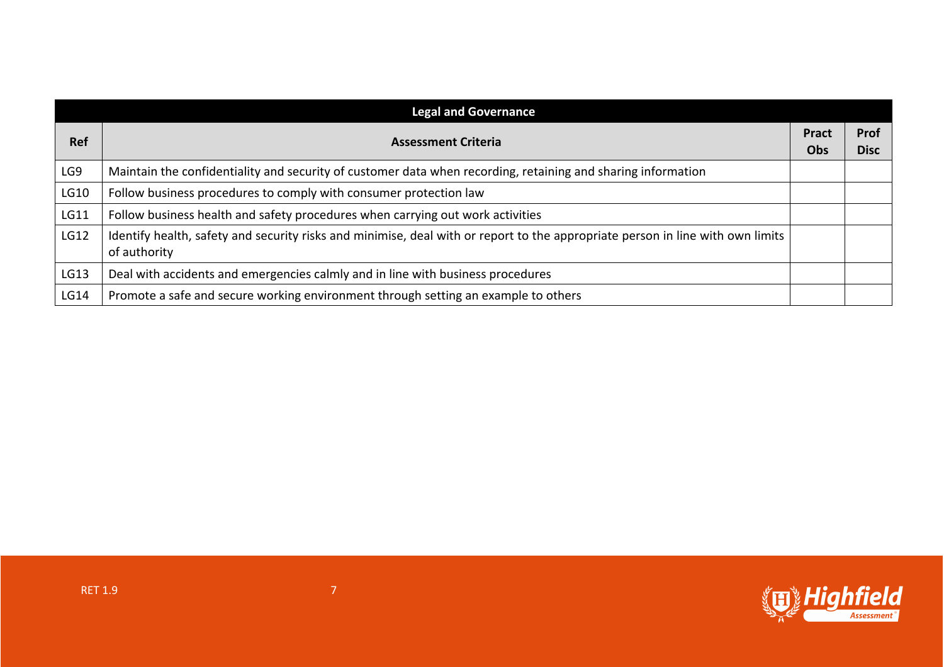| <b>Legal and Governance</b> |                                                                                                                                                |                            |                            |
|-----------------------------|------------------------------------------------------------------------------------------------------------------------------------------------|----------------------------|----------------------------|
| <b>Ref</b>                  | <b>Assessment Criteria</b>                                                                                                                     | <b>Pract</b><br><b>Obs</b> | <b>Prof</b><br><b>Disc</b> |
| LG9                         | Maintain the confidentiality and security of customer data when recording, retaining and sharing information                                   |                            |                            |
| LG10                        | Follow business procedures to comply with consumer protection law                                                                              |                            |                            |
| LG11                        | Follow business health and safety procedures when carrying out work activities                                                                 |                            |                            |
| LG12                        | Identify health, safety and security risks and minimise, deal with or report to the appropriate person in line with own limits<br>of authority |                            |                            |
| LG13                        | Deal with accidents and emergencies calmly and in line with business procedures                                                                |                            |                            |
| LG14                        | Promote a safe and secure working environment through setting an example to others                                                             |                            |                            |

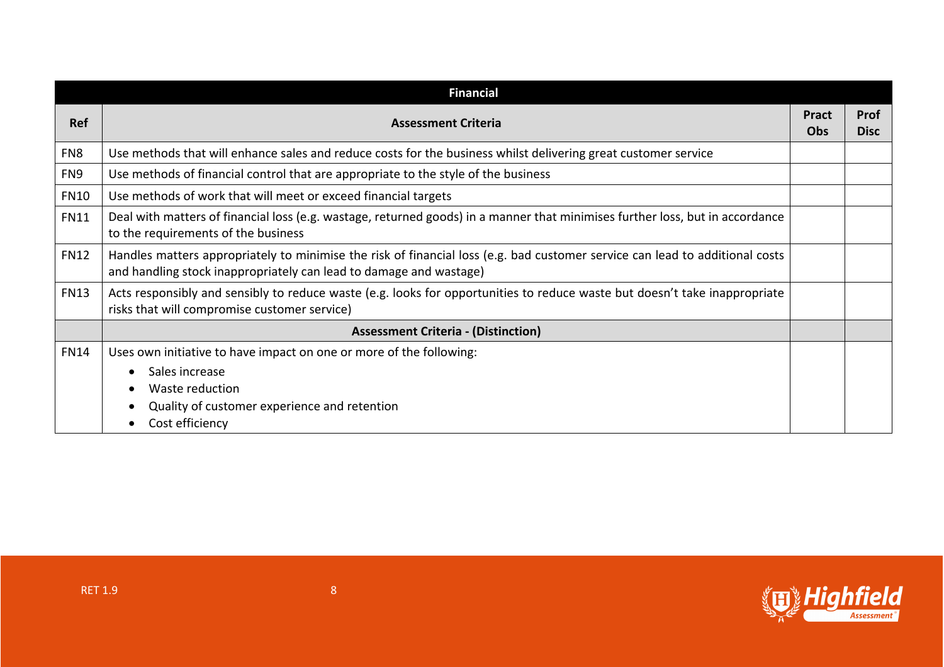|                 | <b>Financial</b>                                                                                                                                                                                   |                            |                            |
|-----------------|----------------------------------------------------------------------------------------------------------------------------------------------------------------------------------------------------|----------------------------|----------------------------|
| <b>Ref</b>      | <b>Assessment Criteria</b>                                                                                                                                                                         | <b>Pract</b><br><b>Obs</b> | <b>Prof</b><br><b>Disc</b> |
| FN <sub>8</sub> | Use methods that will enhance sales and reduce costs for the business whilst delivering great customer service                                                                                     |                            |                            |
| FN9             | Use methods of financial control that are appropriate to the style of the business                                                                                                                 |                            |                            |
| <b>FN10</b>     | Use methods of work that will meet or exceed financial targets                                                                                                                                     |                            |                            |
| <b>FN11</b>     | Deal with matters of financial loss (e.g. wastage, returned goods) in a manner that minimises further loss, but in accordance<br>to the requirements of the business                               |                            |                            |
| <b>FN12</b>     | Handles matters appropriately to minimise the risk of financial loss (e.g. bad customer service can lead to additional costs<br>and handling stock inappropriately can lead to damage and wastage) |                            |                            |
| <b>FN13</b>     | Acts responsibly and sensibly to reduce waste (e.g. looks for opportunities to reduce waste but doesn't take inappropriate<br>risks that will compromise customer service)                         |                            |                            |
|                 | <b>Assessment Criteria - (Distinction)</b>                                                                                                                                                         |                            |                            |
| <b>FN14</b>     | Uses own initiative to have impact on one or more of the following:                                                                                                                                |                            |                            |
|                 | Sales increase                                                                                                                                                                                     |                            |                            |
|                 | Waste reduction                                                                                                                                                                                    |                            |                            |
|                 | Quality of customer experience and retention                                                                                                                                                       |                            |                            |
|                 | Cost efficiency                                                                                                                                                                                    |                            |                            |

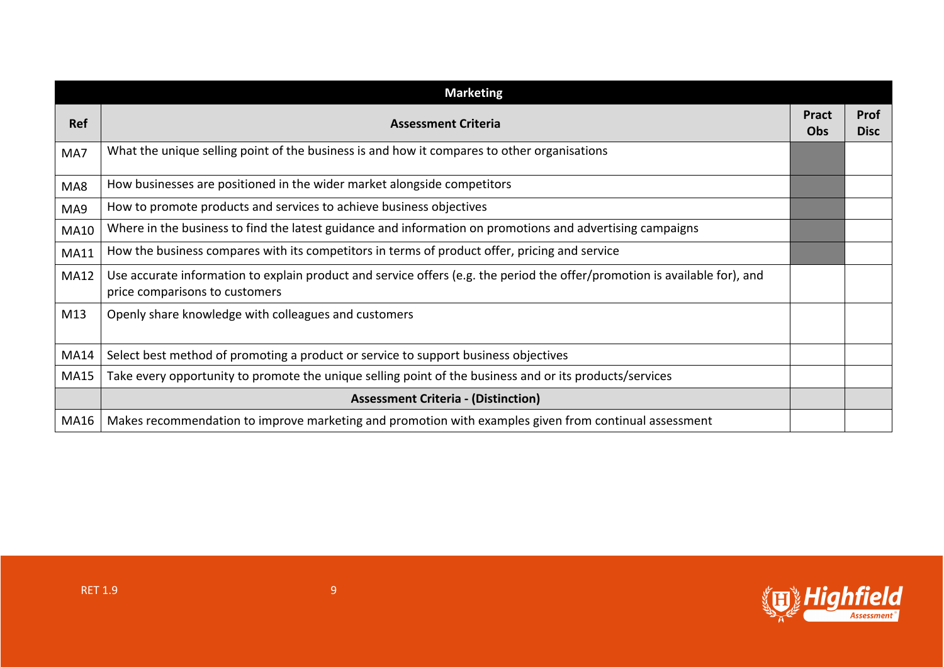|             | <b>Marketing</b>                                                                                                                                             |                            |                            |
|-------------|--------------------------------------------------------------------------------------------------------------------------------------------------------------|----------------------------|----------------------------|
| <b>Ref</b>  | <b>Assessment Criteria</b>                                                                                                                                   | <b>Pract</b><br><b>Obs</b> | <b>Prof</b><br><b>Disc</b> |
| MA7         | What the unique selling point of the business is and how it compares to other organisations                                                                  |                            |                            |
| MA8         | How businesses are positioned in the wider market alongside competitors                                                                                      |                            |                            |
| MA9         | How to promote products and services to achieve business objectives                                                                                          |                            |                            |
| MA10        | Where in the business to find the latest guidance and information on promotions and advertising campaigns                                                    |                            |                            |
| <b>MA11</b> | How the business compares with its competitors in terms of product offer, pricing and service                                                                |                            |                            |
| <b>MA12</b> | Use accurate information to explain product and service offers (e.g. the period the offer/promotion is available for), and<br>price comparisons to customers |                            |                            |
| M13         | Openly share knowledge with colleagues and customers                                                                                                         |                            |                            |
| MA14        | Select best method of promoting a product or service to support business objectives                                                                          |                            |                            |
| <b>MA15</b> | Take every opportunity to promote the unique selling point of the business and or its products/services                                                      |                            |                            |
|             | <b>Assessment Criteria - (Distinction)</b>                                                                                                                   |                            |                            |
| MA16        | Makes recommendation to improve marketing and promotion with examples given from continual assessment                                                        |                            |                            |

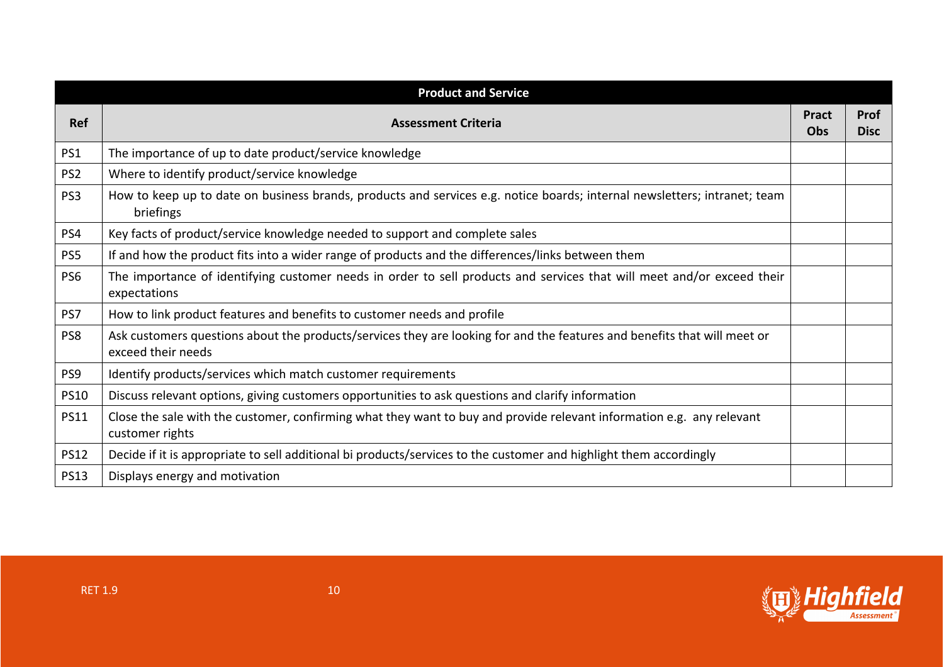|                 | <b>Product and Service</b>                                                                                                                     |                            |                            |
|-----------------|------------------------------------------------------------------------------------------------------------------------------------------------|----------------------------|----------------------------|
| <b>Ref</b>      | <b>Assessment Criteria</b>                                                                                                                     | <b>Pract</b><br><b>Obs</b> | <b>Prof</b><br><b>Disc</b> |
| PS1             | The importance of up to date product/service knowledge                                                                                         |                            |                            |
| PS <sub>2</sub> | Where to identify product/service knowledge                                                                                                    |                            |                            |
| PS <sub>3</sub> | How to keep up to date on business brands, products and services e.g. notice boards; internal newsletters; intranet; team<br>briefings         |                            |                            |
| PS4             | Key facts of product/service knowledge needed to support and complete sales                                                                    |                            |                            |
| PS5             | If and how the product fits into a wider range of products and the differences/links between them                                              |                            |                            |
| PS6             | The importance of identifying customer needs in order to sell products and services that will meet and/or exceed their<br>expectations         |                            |                            |
| PS7             | How to link product features and benefits to customer needs and profile                                                                        |                            |                            |
| PS8             | Ask customers questions about the products/services they are looking for and the features and benefits that will meet or<br>exceed their needs |                            |                            |
| PS9             | Identify products/services which match customer requirements                                                                                   |                            |                            |
| <b>PS10</b>     | Discuss relevant options, giving customers opportunities to ask questions and clarify information                                              |                            |                            |
| <b>PS11</b>     | Close the sale with the customer, confirming what they want to buy and provide relevant information e.g. any relevant<br>customer rights       |                            |                            |
| <b>PS12</b>     | Decide if it is appropriate to sell additional bi products/services to the customer and highlight them accordingly                             |                            |                            |
| <b>PS13</b>     | Displays energy and motivation                                                                                                                 |                            |                            |

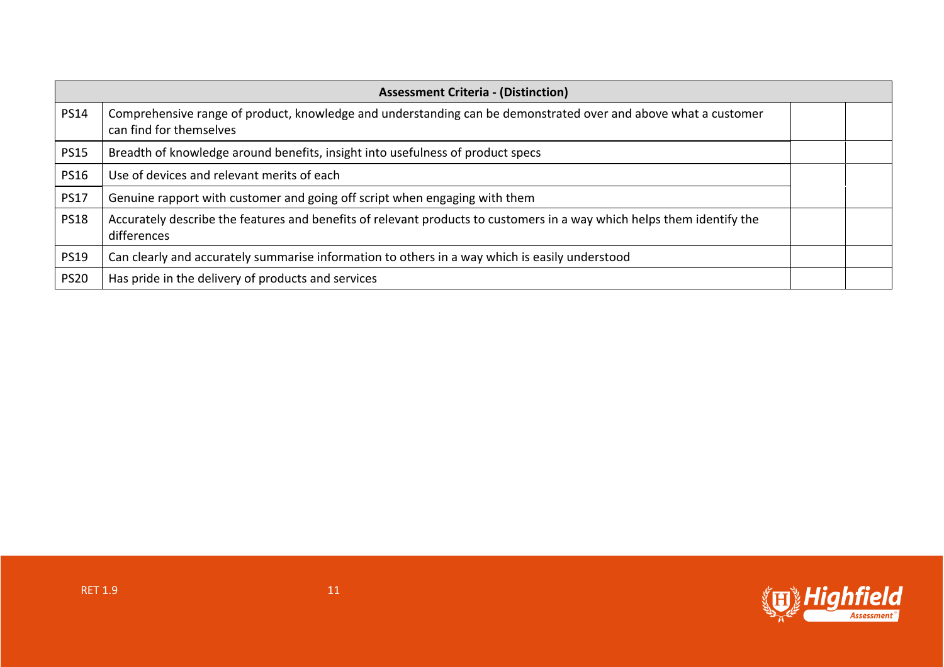|             | <b>Assessment Criteria - (Distinction)</b>                                                                                                |  |  |
|-------------|-------------------------------------------------------------------------------------------------------------------------------------------|--|--|
| <b>PS14</b> | Comprehensive range of product, knowledge and understanding can be demonstrated over and above what a customer<br>can find for themselves |  |  |
| <b>PS15</b> | Breadth of knowledge around benefits, insight into usefulness of product specs                                                            |  |  |
| <b>PS16</b> | Use of devices and relevant merits of each                                                                                                |  |  |
| <b>PS17</b> | Genuine rapport with customer and going off script when engaging with them                                                                |  |  |
| <b>PS18</b> | Accurately describe the features and benefits of relevant products to customers in a way which helps them identify the<br>differences     |  |  |
| <b>PS19</b> | Can clearly and accurately summarise information to others in a way which is easily understood                                            |  |  |
| <b>PS20</b> | Has pride in the delivery of products and services                                                                                        |  |  |

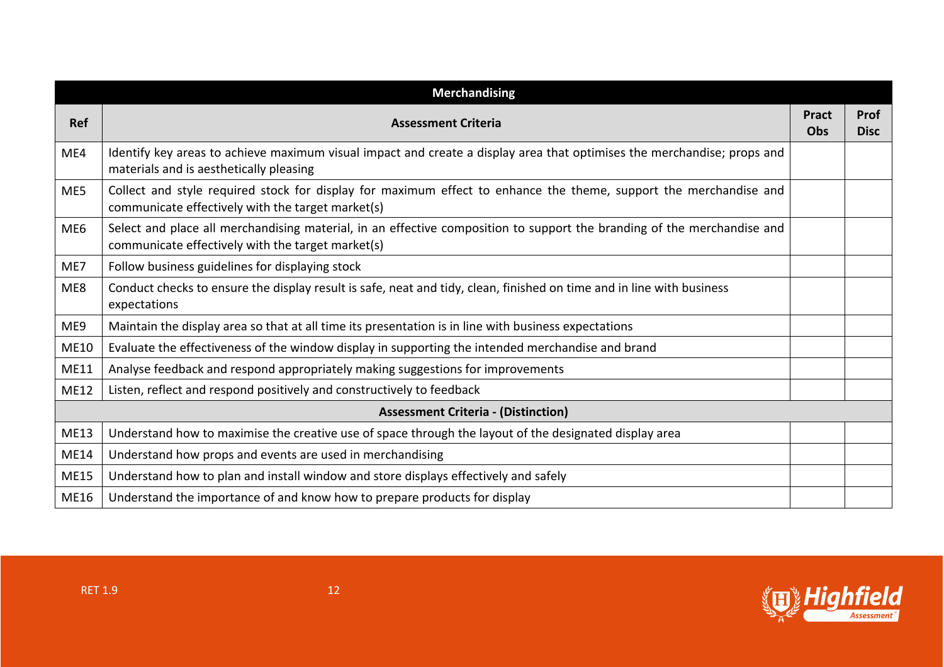|                 | <b>Merchandising</b>                                                                                                                                                         |                     |                            |
|-----------------|------------------------------------------------------------------------------------------------------------------------------------------------------------------------------|---------------------|----------------------------|
| <b>Ref</b>      | <b>Assessment Criteria</b>                                                                                                                                                   | <b>Pract</b><br>Obs | <b>Prof</b><br><b>Disc</b> |
| ME4             | Identify key areas to achieve maximum visual impact and create a display area that optimises the merchandise; props and<br>materials and is aesthetically pleasing           |                     |                            |
| ME5             | Collect and style required stock for display for maximum effect to enhance the theme, support the merchandise and<br>communicate effectively with the target market(s)       |                     |                            |
| ME <sub>6</sub> | Select and place all merchandising material, in an effective composition to support the branding of the merchandise and<br>communicate effectively with the target market(s) |                     |                            |
| ME7             | Follow business guidelines for displaying stock                                                                                                                              |                     |                            |
| ME8             | Conduct checks to ensure the display result is safe, neat and tidy, clean, finished on time and in line with business<br>expectations                                        |                     |                            |
| ME9             | Maintain the display area so that at all time its presentation is in line with business expectations                                                                         |                     |                            |
| <b>ME10</b>     | Evaluate the effectiveness of the window display in supporting the intended merchandise and brand                                                                            |                     |                            |
| <b>ME11</b>     | Analyse feedback and respond appropriately making suggestions for improvements                                                                                               |                     |                            |
| <b>ME12</b>     | Listen, reflect and respond positively and constructively to feedback                                                                                                        |                     |                            |
|                 | <b>Assessment Criteria - (Distinction)</b>                                                                                                                                   |                     |                            |
| <b>ME13</b>     | Understand how to maximise the creative use of space through the layout of the designated display area                                                                       |                     |                            |
| <b>ME14</b>     | Understand how props and events are used in merchandising                                                                                                                    |                     |                            |
| <b>ME15</b>     | Understand how to plan and install window and store displays effectively and safely                                                                                          |                     |                            |
| ME16            | Understand the importance of and know how to prepare products for display                                                                                                    |                     |                            |

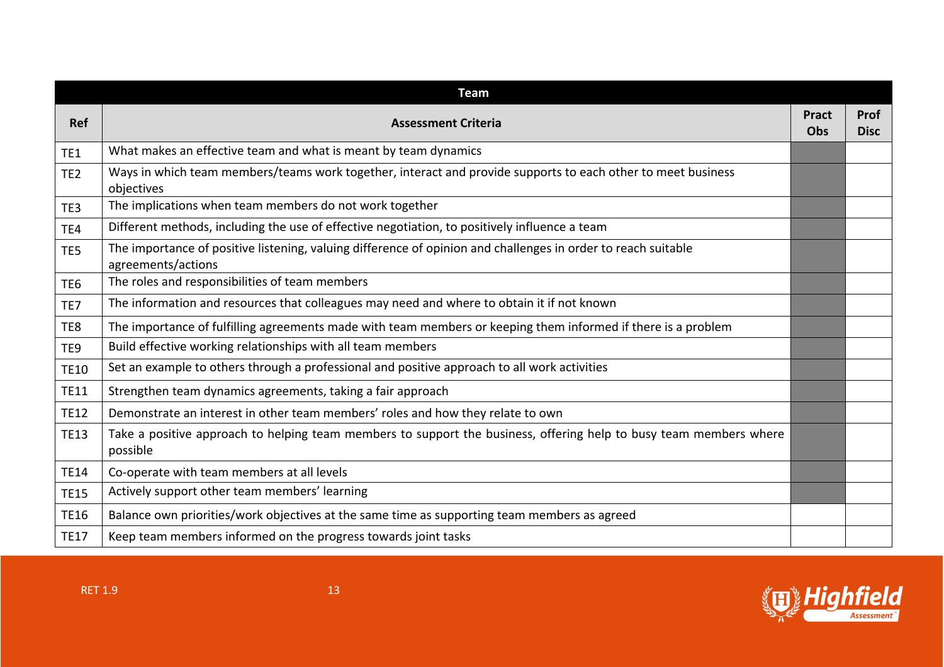| <b>Team</b>     |                                                                                                                                     |                     |                            |
|-----------------|-------------------------------------------------------------------------------------------------------------------------------------|---------------------|----------------------------|
| <b>Ref</b>      | <b>Assessment Criteria</b>                                                                                                          | <b>Pract</b><br>Obs | <b>Prof</b><br><b>Disc</b> |
| TE1             | What makes an effective team and what is meant by team dynamics                                                                     |                     |                            |
| TE <sub>2</sub> | Ways in which team members/teams work together, interact and provide supports to each other to meet business<br>objectives          |                     |                            |
| TE3             | The implications when team members do not work together                                                                             |                     |                            |
| TE4             | Different methods, including the use of effective negotiation, to positively influence a team                                       |                     |                            |
| TE5             | The importance of positive listening, valuing difference of opinion and challenges in order to reach suitable<br>agreements/actions |                     |                            |
| TE <sub>6</sub> | The roles and responsibilities of team members                                                                                      |                     |                            |
| TE7             | The information and resources that colleagues may need and where to obtain it if not known                                          |                     |                            |
| TE8             | The importance of fulfilling agreements made with team members or keeping them informed if there is a problem                       |                     |                            |
| TE9             | Build effective working relationships with all team members                                                                         |                     |                            |
| <b>TE10</b>     | Set an example to others through a professional and positive approach to all work activities                                        |                     |                            |
| <b>TE11</b>     | Strengthen team dynamics agreements, taking a fair approach                                                                         |                     |                            |
| <b>TE12</b>     | Demonstrate an interest in other team members' roles and how they relate to own                                                     |                     |                            |
| <b>TE13</b>     | Take a positive approach to helping team members to support the business, offering help to busy team members where<br>possible      |                     |                            |
| <b>TE14</b>     | Co-operate with team members at all levels                                                                                          |                     |                            |
| <b>TE15</b>     | Actively support other team members' learning                                                                                       |                     |                            |
| <b>TE16</b>     | Balance own priorities/work objectives at the same time as supporting team members as agreed                                        |                     |                            |
| <b>TE17</b>     | Keep team members informed on the progress towards joint tasks                                                                      |                     |                            |

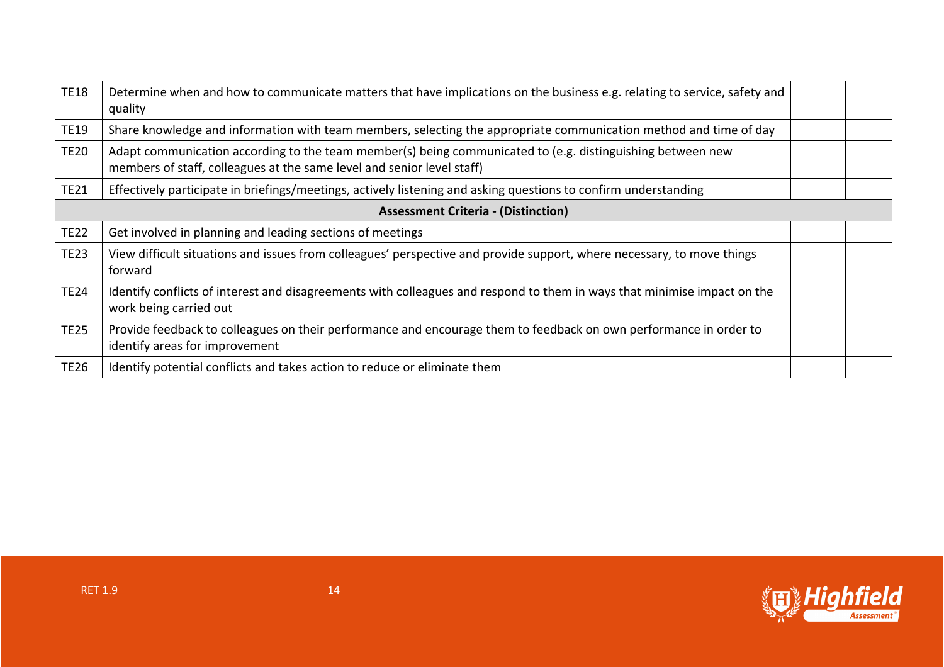| <b>TE18</b>                                | Determine when and how to communicate matters that have implications on the business e.g. relating to service, safety and<br>quality                                                 |  |  |
|--------------------------------------------|--------------------------------------------------------------------------------------------------------------------------------------------------------------------------------------|--|--|
| <b>TE19</b>                                | Share knowledge and information with team members, selecting the appropriate communication method and time of day                                                                    |  |  |
| <b>TE20</b>                                | Adapt communication according to the team member(s) being communicated to (e.g. distinguishing between new<br>members of staff, colleagues at the same level and senior level staff) |  |  |
| <b>TE21</b>                                | Effectively participate in briefings/meetings, actively listening and asking questions to confirm understanding                                                                      |  |  |
| <b>Assessment Criteria - (Distinction)</b> |                                                                                                                                                                                      |  |  |
| <b>TE22</b>                                | Get involved in planning and leading sections of meetings                                                                                                                            |  |  |
| <b>TE23</b>                                | View difficult situations and issues from colleagues' perspective and provide support, where necessary, to move things<br>forward                                                    |  |  |
| <b>TE24</b>                                | Identify conflicts of interest and disagreements with colleagues and respond to them in ways that minimise impact on the<br>work being carried out                                   |  |  |
| <b>TE25</b>                                | Provide feedback to colleagues on their performance and encourage them to feedback on own performance in order to<br>identify areas for improvement                                  |  |  |
| <b>TE26</b>                                | Identify potential conflicts and takes action to reduce or eliminate them                                                                                                            |  |  |

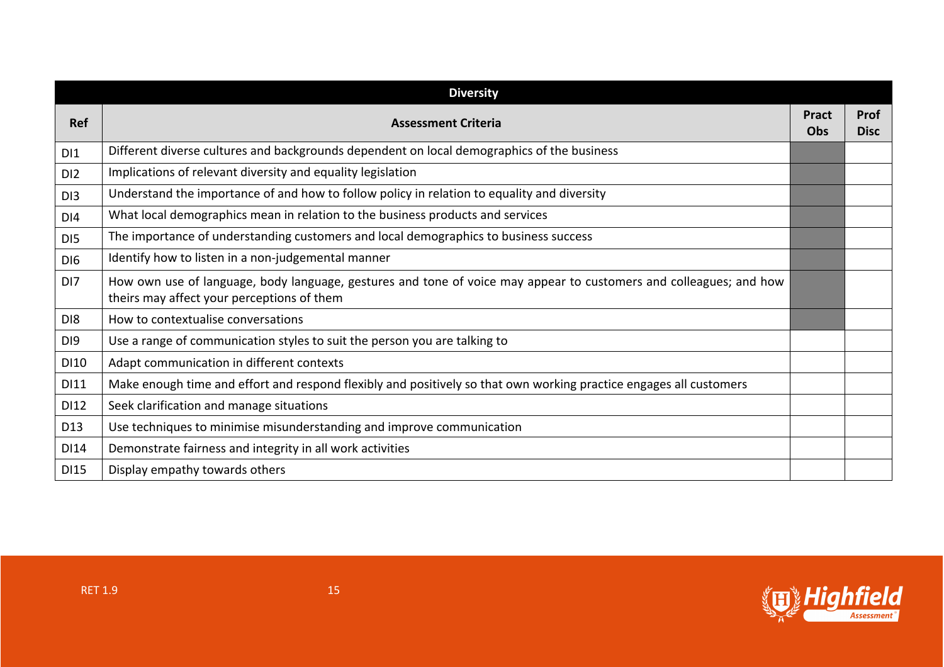|                 | <b>Diversity</b>                                                                                                                                                 |              |                     |
|-----------------|------------------------------------------------------------------------------------------------------------------------------------------------------------------|--------------|---------------------|
| <b>Ref</b>      | <b>Assessment Criteria</b>                                                                                                                                       | Pract<br>Obs | Prof<br><b>Disc</b> |
| DI1             | Different diverse cultures and backgrounds dependent on local demographics of the business                                                                       |              |                     |
| D <sub>12</sub> | Implications of relevant diversity and equality legislation                                                                                                      |              |                     |
| DI3             | Understand the importance of and how to follow policy in relation to equality and diversity                                                                      |              |                     |
| DI4             | What local demographics mean in relation to the business products and services                                                                                   |              |                     |
| D <sub>15</sub> | The importance of understanding customers and local demographics to business success                                                                             |              |                     |
| DI <sub>6</sub> | Identify how to listen in a non-judgemental manner                                                                                                               |              |                     |
| DI <sub>7</sub> | How own use of language, body language, gestures and tone of voice may appear to customers and colleagues; and how<br>theirs may affect your perceptions of them |              |                     |
| D <sub>18</sub> | How to contextualise conversations                                                                                                                               |              |                     |
| DI9             | Use a range of communication styles to suit the person you are talking to                                                                                        |              |                     |
| DI10            | Adapt communication in different contexts                                                                                                                        |              |                     |
| DI11            | Make enough time and effort and respond flexibly and positively so that own working practice engages all customers                                               |              |                     |
| DI12            | Seek clarification and manage situations                                                                                                                         |              |                     |
| D13             | Use techniques to minimise misunderstanding and improve communication                                                                                            |              |                     |
| DI14            | Demonstrate fairness and integrity in all work activities                                                                                                        |              |                     |
| <b>DI15</b>     | Display empathy towards others                                                                                                                                   |              |                     |

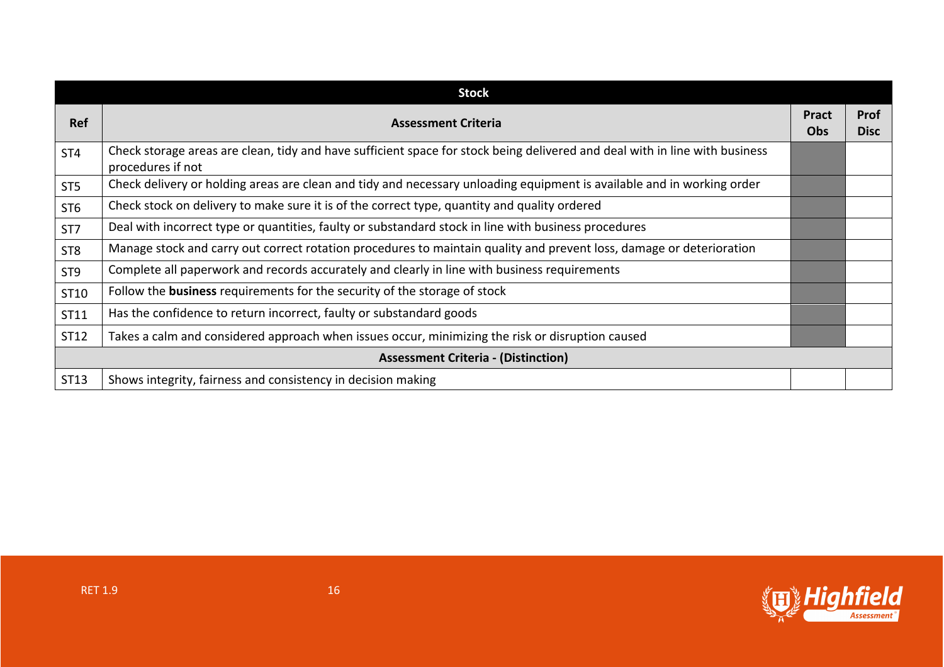|                 | <b>Stock</b>                                                                                                                                     |                            |                            |
|-----------------|--------------------------------------------------------------------------------------------------------------------------------------------------|----------------------------|----------------------------|
| <b>Ref</b>      | <b>Assessment Criteria</b>                                                                                                                       | <b>Pract</b><br><b>Obs</b> | <b>Prof</b><br><b>Disc</b> |
| ST <sub>4</sub> | Check storage areas are clean, tidy and have sufficient space for stock being delivered and deal with in line with business<br>procedures if not |                            |                            |
| ST <sub>5</sub> | Check delivery or holding areas are clean and tidy and necessary unloading equipment is available and in working order                           |                            |                            |
| ST <sub>6</sub> | Check stock on delivery to make sure it is of the correct type, quantity and quality ordered                                                     |                            |                            |
| ST7             | Deal with incorrect type or quantities, faulty or substandard stock in line with business procedures                                             |                            |                            |
| ST <sub>8</sub> | Manage stock and carry out correct rotation procedures to maintain quality and prevent loss, damage or deterioration                             |                            |                            |
| ST <sub>9</sub> | Complete all paperwork and records accurately and clearly in line with business requirements                                                     |                            |                            |
| ST10            | Follow the business requirements for the security of the storage of stock                                                                        |                            |                            |
| ST11            | Has the confidence to return incorrect, faulty or substandard goods                                                                              |                            |                            |
| ST12            | Takes a calm and considered approach when issues occur, minimizing the risk or disruption caused                                                 |                            |                            |
|                 | <b>Assessment Criteria - (Distinction)</b>                                                                                                       |                            |                            |
| ST13            | Shows integrity, fairness and consistency in decision making                                                                                     |                            |                            |

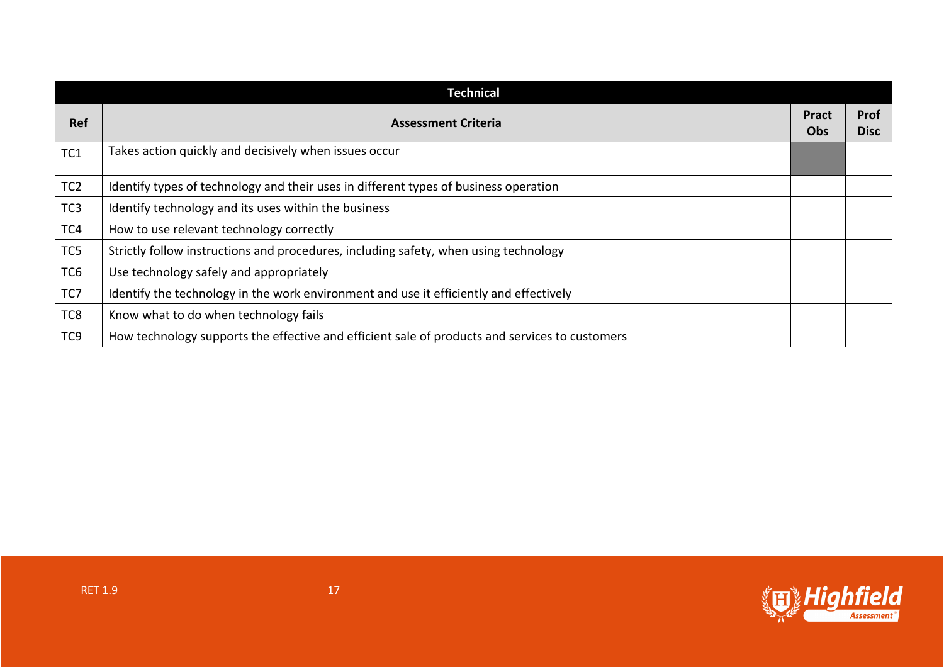| <b>Technical</b> |                                                                                                |                     |                     |
|------------------|------------------------------------------------------------------------------------------------|---------------------|---------------------|
| <b>Ref</b>       | <b>Assessment Criteria</b>                                                                     | <b>Pract</b><br>Obs | Prof<br><b>Disc</b> |
| TC1              | Takes action quickly and decisively when issues occur                                          |                     |                     |
| TC <sub>2</sub>  | Identify types of technology and their uses in different types of business operation           |                     |                     |
| TC <sub>3</sub>  | Identify technology and its uses within the business                                           |                     |                     |
| TC4              | How to use relevant technology correctly                                                       |                     |                     |
| TC5              | Strictly follow instructions and procedures, including safety, when using technology           |                     |                     |
| TC <sub>6</sub>  | Use technology safely and appropriately                                                        |                     |                     |
| TC7              | Identify the technology in the work environment and use it efficiently and effectively         |                     |                     |
| TC8              | Know what to do when technology fails                                                          |                     |                     |
| TC <sub>9</sub>  | How technology supports the effective and efficient sale of products and services to customers |                     |                     |

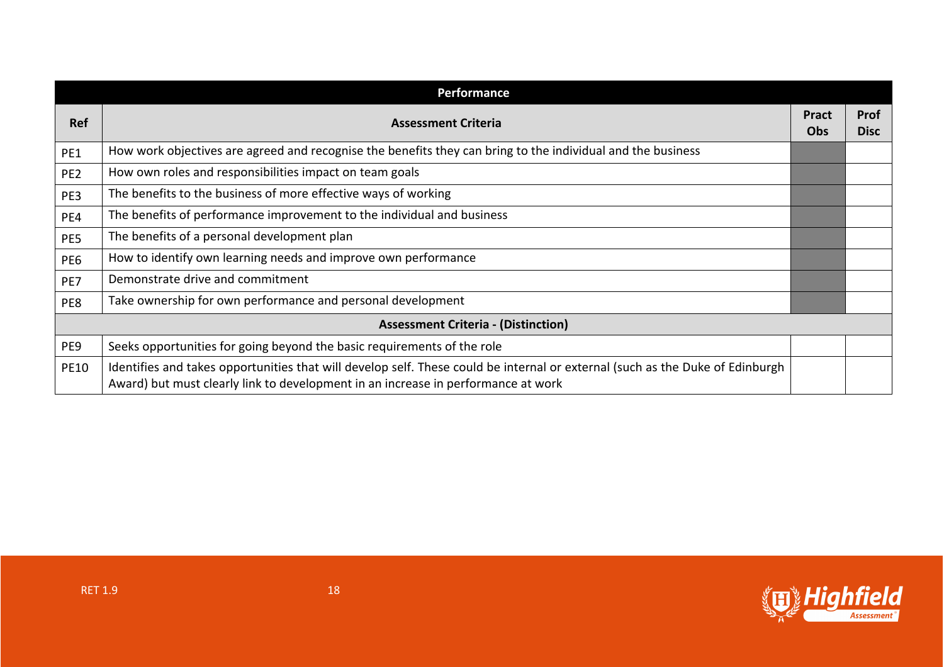| Performance                                |                                                                                                                                                                                                                    |                            |                            |
|--------------------------------------------|--------------------------------------------------------------------------------------------------------------------------------------------------------------------------------------------------------------------|----------------------------|----------------------------|
| <b>Ref</b>                                 | <b>Assessment Criteria</b>                                                                                                                                                                                         | <b>Pract</b><br><b>Obs</b> | <b>Prof</b><br><b>Disc</b> |
| PE1                                        | How work objectives are agreed and recognise the benefits they can bring to the individual and the business                                                                                                        |                            |                            |
| PE <sub>2</sub>                            | How own roles and responsibilities impact on team goals                                                                                                                                                            |                            |                            |
| PE3                                        | The benefits to the business of more effective ways of working                                                                                                                                                     |                            |                            |
| PE4                                        | The benefits of performance improvement to the individual and business                                                                                                                                             |                            |                            |
| PE5                                        | The benefits of a personal development plan                                                                                                                                                                        |                            |                            |
| PE6                                        | How to identify own learning needs and improve own performance                                                                                                                                                     |                            |                            |
| PE7                                        | Demonstrate drive and commitment                                                                                                                                                                                   |                            |                            |
| PE8                                        | Take ownership for own performance and personal development                                                                                                                                                        |                            |                            |
| <b>Assessment Criteria - (Distinction)</b> |                                                                                                                                                                                                                    |                            |                            |
| PE9                                        | Seeks opportunities for going beyond the basic requirements of the role                                                                                                                                            |                            |                            |
| <b>PE10</b>                                | Identifies and takes opportunities that will develop self. These could be internal or external (such as the Duke of Edinburgh<br>Award) but must clearly link to development in an increase in performance at work |                            |                            |